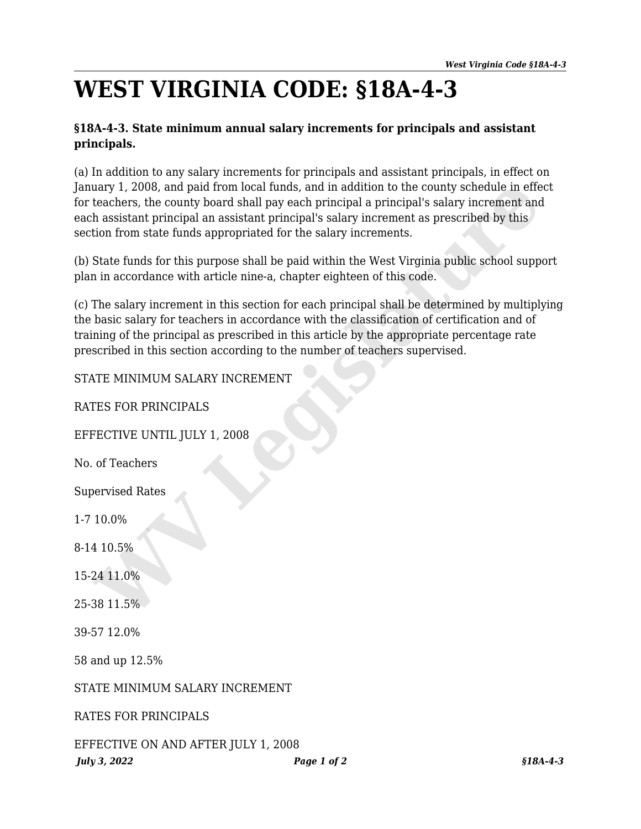## **WEST VIRGINIA CODE: §18A-4-3**

## **§18A-4-3. State minimum annual salary increments for principals and assistant principals.**

(a) In addition to any salary increments for principals and assistant principals, in effect on January 1, 2008, and paid from local funds, and in addition to the county schedule in effect for teachers, the county board shall pay each principal a principal's salary increment and each assistant principal an assistant principal's salary increment as prescribed by this section from state funds appropriated for the salary increments.

(b) State funds for this purpose shall be paid within the West Virginia public school support plan in accordance with article nine-a, chapter eighteen of this code.

(c) The salary increment in this section for each principal shall be determined by multiplying the basic salary for teachers in accordance with the classification of certification and of training of the principal as prescribed in this article by the appropriate percentage rate prescribed in this section according to the number of teachers supervised. uary 1, 2008, and paid from local funds, and in addition to the county schedule in effect<br>acheers, the county board shall pay each principal a principal<sup>2</sup>is salary increment and<br>the absistant principal an assistant princi

## STATE MINIMUM SALARY INCREMENT

RATES FOR PRINCIPALS

EFFECTIVE UNTIL JULY 1, 2008

No. of Teachers

Supervised Rates

1-7 10.0%

8-14 10.5%

15-24 11.0%

25-38 11.5%

39-57 12.0%

58 and up 12.5%

STATE MINIMUM SALARY INCREMENT

RATES FOR PRINCIPALS

*July 3, 2022 Page 1 of 2 §18A-4-3* EFFECTIVE ON AND AFTER JULY 1, 2008